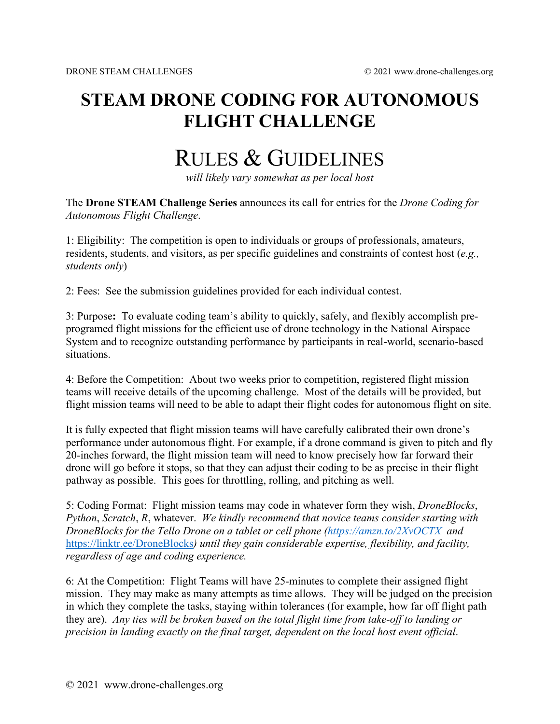## **STEAM DRONE CODING FOR AUTONOMOUS FLIGHT CHALLENGE**

## RULES & GUIDELINES

*will likely vary somewhat as per local host*

The **Drone STEAM Challenge Series** announces its call for entries for the *Drone Coding for Autonomous Flight Challenge*.

1: Eligibility: The competition is open to individuals or groups of professionals, amateurs, residents, students, and visitors, as per specific guidelines and constraints of contest host (*e.g., students only*)

2: Fees: See the submission guidelines provided for each individual contest.

3: Purpose**:** To evaluate coding team's ability to quickly, safely, and flexibly accomplish preprogramed flight missions for the efficient use of drone technology in the National Airspace System and to recognize outstanding performance by participants in real-world, scenario-based situations.

4: Before the Competition: About two weeks prior to competition, registered flight mission teams will receive details of the upcoming challenge. Most of the details will be provided, but flight mission teams will need to be able to adapt their flight codes for autonomous flight on site.

It is fully expected that flight mission teams will have carefully calibrated their own drone's performance under autonomous flight. For example, if a drone command is given to pitch and fly 20-inches forward, the flight mission team will need to know precisely how far forward their drone will go before it stops, so that they can adjust their coding to be as precise in their flight pathway as possible. This goes for throttling, rolling, and pitching as well.

5: Coding Format: Flight mission teams may code in whatever form they wish, *DroneBlocks*, *Python*, *Scratch*, *R*, whatever. *We kindly recommend that novice teams consider starting with DroneBlocks for the Tello Drone on a tablet or cell phone [\(https://amzn.to/2XvOCTX](https://amzn.to/2XvOCTX) and*  <https://linktr.ee/DroneBlocks>*) until they gain considerable expertise, flexibility, and facility, regardless of age and coding experience.*

6: At the Competition: Flight Teams will have 25-minutes to complete their assigned flight mission. They may make as many attempts as time allows. They will be judged on the precision in which they complete the tasks, staying within tolerances (for example, how far off flight path they are). *Any ties will be broken based on the total flight time from take-off to landing or precision in landing exactly on the final target, dependent on the local host event official*.